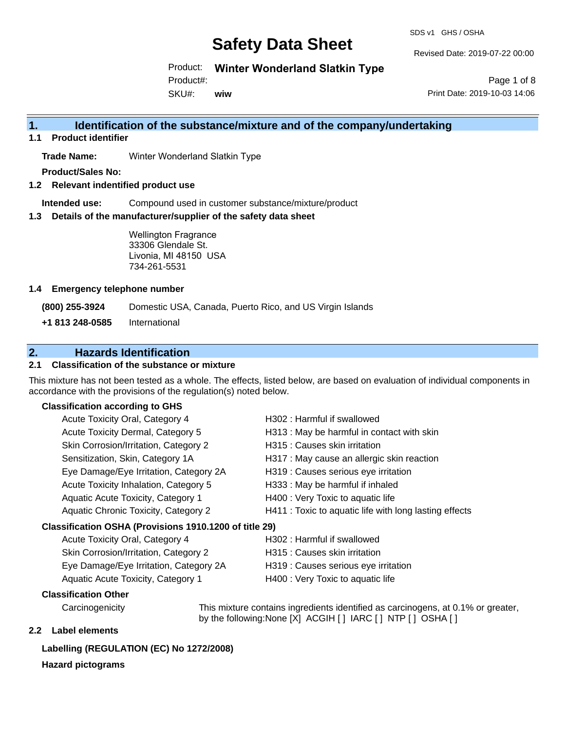SDS v1 GHS / OSHA

Revised Date: 2019-07-22 00:00

Product: **Winter Wonderland Slatkin Type**

Product#:

SKU#: **wiw**

Page 1 of 8 Print Date: 2019-10-03 14:06

### **1. Identification of the substance/mixture and of the company/undertaking**

**1.1 Product identifier**

**Trade Name:** Winter Wonderland Slatkin Type

**Product/Sales No:**

**1.2 Relevant indentified product use**

**Intended use:** Compound used in customer substance/mixture/product

**1.3 Details of the manufacturer/supplier of the safety data sheet**

Wellington Fragrance 33306 Glendale St. Livonia, MI 48150 USA 734-261-5531

#### **1.4 Emergency telephone number**

**(800) 255-3924** Domestic USA, Canada, Puerto Rico, and US Virgin Islands

**+1 813 248-0585** International

### **2. Hazards Identification**

#### **2.1 Classification of the substance or mixture**

This mixture has not been tested as a whole. The effects, listed below, are based on evaluation of individual components in accordance with the provisions of the regulation(s) noted below.

#### **Classification according to GHS**

| Acute Toxicity Oral, Category 4                        | H302: Harmful if swallowed                             |  |
|--------------------------------------------------------|--------------------------------------------------------|--|
| Acute Toxicity Dermal, Category 5                      | H313 : May be harmful in contact with skin             |  |
| Skin Corrosion/Irritation, Category 2                  | H315 : Causes skin irritation                          |  |
| Sensitization, Skin, Category 1A                       | H317 : May cause an allergic skin reaction             |  |
| Eye Damage/Eye Irritation, Category 2A                 | H319 : Causes serious eye irritation                   |  |
| Acute Toxicity Inhalation, Category 5                  | H333: May be harmful if inhaled                        |  |
| Aquatic Acute Toxicity, Category 1                     | H400 : Very Toxic to aquatic life                      |  |
| Aquatic Chronic Toxicity, Category 2                   | H411 : Toxic to aquatic life with long lasting effects |  |
| Classification OSHA (Provisions 1910.1200 of title 29) |                                                        |  |
| <b>Acute Toxicity Oral, Category 4</b>                 | H302 : Harmful if swallowed                            |  |

| Acute Toxicity Oral, Category 4        | H302 : Harmful if swallowed          |
|----------------------------------------|--------------------------------------|
| Skin Corrosion/Irritation, Category 2  | H315 : Causes skin irritation        |
| Eye Damage/Eye Irritation, Category 2A | H319 : Causes serious eye irritation |
| Aquatic Acute Toxicity, Category 1     | H400 : Very Toxic to aquatic life    |

#### **Classification Other**

Carcinogenicity This mixture contains ingredients identified as carcinogens, at 0.1% or greater, by the following:None [X] ACGIH [ ] IARC [ ] NTP [ ] OSHA [ ]

### **2.2 Label elements**

### **Labelling (REGULATION (EC) No 1272/2008)**

#### **Hazard pictograms**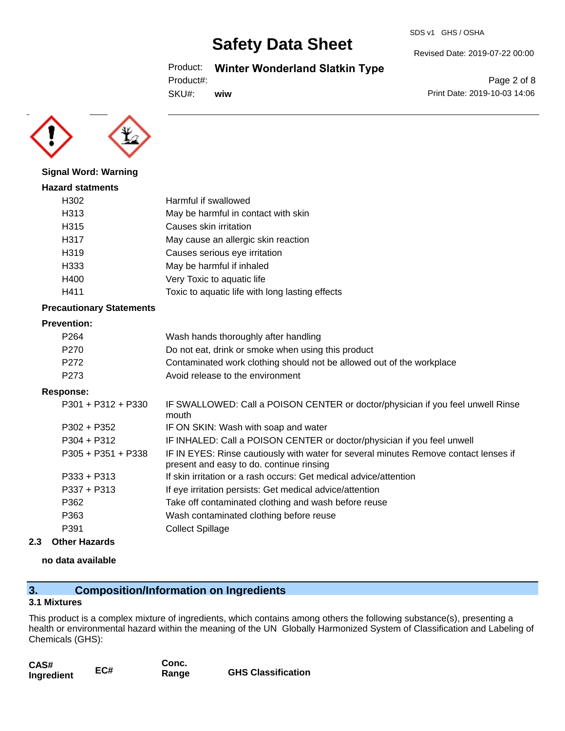#### SDS v1 GHS / OSHA

# **Safety Data Sheet**

Product: **Winter Wonderland Slatkin Type**

Product#:

SKU#: **wiw** Page 2 of 8

Revised Date: 2019-07-22 00:00

Print Date: 2019-10-03 14:06



**Signal Word: Warning**

### **Hazard statments** H302 Harmful if swallowed H313 May be harmful in contact with skin H315 Causes skin irritation H317 May cause an allergic skin reaction H319 Causes serious eye irritation H333 May be harmful if inhaled H400 Very Toxic to aquatic life H411 Toxic to aquatic life with long lasting effects

#### **Precautionary Statements**

#### **Prevention:**

| P <sub>264</sub> | Wash hands thoroughly after handling                                  |
|------------------|-----------------------------------------------------------------------|
| P270             | Do not eat, drink or smoke when using this product                    |
| P272             | Contaminated work clothing should not be allowed out of the workplace |
| P273             | Avoid release to the environment                                      |

#### **Response:**

| $P301 + P312 + P330$ | IF SWALLOWED: Call a POISON CENTER or doctor/physician if you feel unwell Rinse<br>mouth                                         |
|----------------------|----------------------------------------------------------------------------------------------------------------------------------|
| $P302 + P352$        | IF ON SKIN: Wash with soap and water                                                                                             |
| $P304 + P312$        | IF INHALED: Call a POISON CENTER or doctor/physician if you feel unwell                                                          |
| $P305 + P351 + P338$ | IF IN EYES: Rinse cautiously with water for several minutes Remove contact lenses if<br>present and easy to do. continue rinsing |
| $P333 + P313$        | If skin irritation or a rash occurs: Get medical advice/attention                                                                |
| $P337 + P313$        | If eye irritation persists: Get medical advice/attention                                                                         |
| P362                 | Take off contaminated clothing and wash before reuse                                                                             |
| P363                 | Wash contaminated clothing before reuse                                                                                          |
| P391                 | <b>Collect Spillage</b>                                                                                                          |
|                      |                                                                                                                                  |

#### **2.3 Other Hazards**

#### **no data available**

### **3. Composition/Information on Ingredients**

#### **3.1 Mixtures**

This product is a complex mixture of ingredients, which contains among others the following substance(s), presenting a health or environmental hazard within the meaning of the UN Globally Harmonized System of Classification and Labeling of Chemicals (GHS):

| CAS#       |     | Conc. |                           |
|------------|-----|-------|---------------------------|
| Ingredient | EC# | Range | <b>GHS Classification</b> |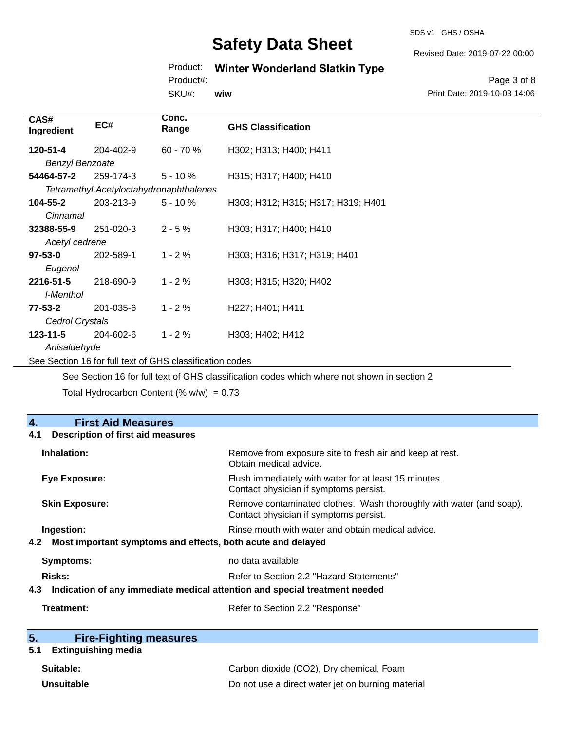SDS v1 GHS / OSHA

Revised Date: 2019-07-22 00:00

### Product: **Winter Wonderland Slatkin Type**

Product#:

SKU#: **wiw**

Page 3 of 8 Print Date: 2019-10-03 14:06

| CAS#<br>Ingredient     | EC#                                     | Conc.<br>Range | <b>GHS Classification</b>          |
|------------------------|-----------------------------------------|----------------|------------------------------------|
| 120-51-4               | 204-402-9                               | $60 - 70%$     | H302; H313; H400; H411             |
| <b>Benzyl Benzoate</b> |                                         |                |                                    |
| 54464-57-2             | 259-174-3                               | $5 - 10 \%$    | H315; H317; H400; H410             |
|                        | Tetramethyl Acetyloctahydronaphthalenes |                |                                    |
| 104-55-2               | 203-213-9                               | $5 - 10 \%$    | H303; H312; H315; H317; H319; H401 |
| Cinnamal               |                                         |                |                                    |
| 32388-55-9             | 251-020-3                               | $2 - 5%$       | H303; H317; H400; H410             |
| Acetyl cedrene         |                                         |                |                                    |
| $97 - 53 - 0$          | 202-589-1                               | $1 - 2%$       | H303; H316; H317; H319; H401       |
| Eugenol                |                                         |                |                                    |
| 2216-51-5              | 218-690-9                               | $1 - 2%$       | H303; H315; H320; H402             |
| I-Menthol              |                                         |                |                                    |
| 77-53-2                | 201-035-6                               | $1 - 2%$       | H227; H401; H411                   |
| Cedrol Crystals        |                                         |                |                                    |
| $123 - 11 - 5$         | 204-602-6                               | $1 - 2%$       | H303; H402; H412                   |
| Anisaldehyde           |                                         |                |                                    |

See Section 16 for full text of GHS classification codes

See Section 16 for full text of GHS classification codes which where not shown in section 2

Total Hydrocarbon Content (%  $w/w$ ) = 0.73

| 4.<br><b>First Aid Measures</b>                                                   |                                                                                                               |
|-----------------------------------------------------------------------------------|---------------------------------------------------------------------------------------------------------------|
| <b>Description of first aid measures</b><br>4.1                                   |                                                                                                               |
| Inhalation:                                                                       | Remove from exposure site to fresh air and keep at rest.<br>Obtain medical advice.                            |
| Eye Exposure:                                                                     | Flush immediately with water for at least 15 minutes.<br>Contact physician if symptoms persist.               |
| <b>Skin Exposure:</b>                                                             | Remove contaminated clothes. Wash thoroughly with water (and soap).<br>Contact physician if symptoms persist. |
| Ingestion:                                                                        | Rinse mouth with water and obtain medical advice.                                                             |
| Most important symptoms and effects, both acute and delayed<br>4.2                |                                                                                                               |
| Symptoms:                                                                         | no data available                                                                                             |
| Risks:                                                                            | Refer to Section 2.2 "Hazard Statements"                                                                      |
| Indication of any immediate medical attention and special treatment needed<br>4.3 |                                                                                                               |
| Treatment:                                                                        | Refer to Section 2.2 "Response"                                                                               |

| 5. | <b>Fire-Fighting measures</b> |
|----|-------------------------------|
|    |                               |

# **5.1 Extinguishing media**

| Suitable:         | Carbon dioxide (CO2), Dry chemical, Foam          |
|-------------------|---------------------------------------------------|
| <b>Unsuitable</b> | Do not use a direct water jet on burning material |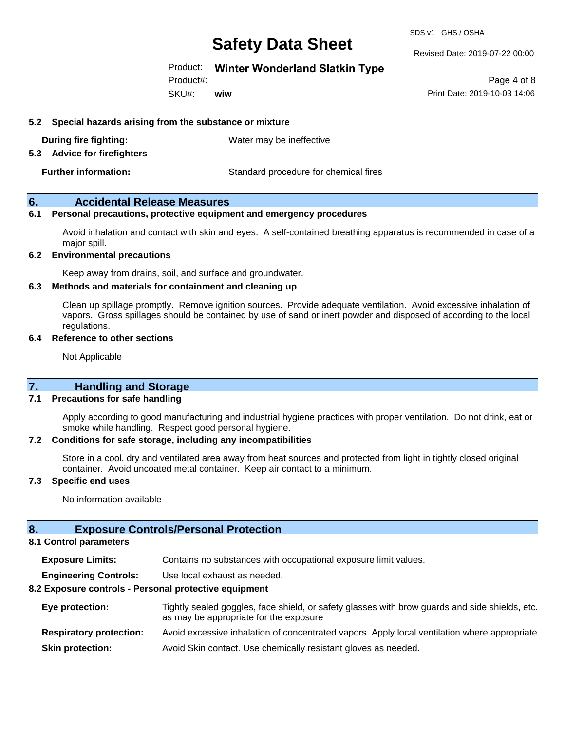SDS v1 GHS / OSHA

Revised Date: 2019-07-22 00:00

#### Product: **Winter Wonderland Slatkin Type**

SKU#: Product#: **wiw**

Page 4 of 8 Print Date: 2019-10-03 14:06

#### **5.2 Special hazards arising from the substance or mixture**

**During fire fighting:** Water may be ineffective

#### **5.3 Advice for firefighters**

**Further information:** Standard procedure for chemical fires

#### **6. Accidental Release Measures**

#### **6.1 Personal precautions, protective equipment and emergency procedures**

Avoid inhalation and contact with skin and eyes. A self-contained breathing apparatus is recommended in case of a major spill.

#### **6.2 Environmental precautions**

Keep away from drains, soil, and surface and groundwater.

#### **6.3 Methods and materials for containment and cleaning up**

Clean up spillage promptly. Remove ignition sources. Provide adequate ventilation. Avoid excessive inhalation of vapors. Gross spillages should be contained by use of sand or inert powder and disposed of according to the local regulations.

#### **6.4 Reference to other sections**

Not Applicable

#### **7. Handling and Storage**

#### **7.1 Precautions for safe handling**

Apply according to good manufacturing and industrial hygiene practices with proper ventilation. Do not drink, eat or smoke while handling. Respect good personal hygiene.

#### **7.2 Conditions for safe storage, including any incompatibilities**

Store in a cool, dry and ventilated area away from heat sources and protected from light in tightly closed original container. Avoid uncoated metal container. Keep air contact to a minimum.

#### **7.3 Specific end uses**

No information available

#### **8. Exposure Controls/Personal Protection**

#### **8.1 Control parameters**

**Exposure Limits:** Contains no substances with occupational exposure limit values.

**Engineering Controls:** Use local exhaust as needed.

#### **8.2 Exposure controls - Personal protective equipment**

| Eye protection:                | Tightly sealed goggles, face shield, or safety glasses with brow guards and side shields, etc.<br>as may be appropriate for the exposure |
|--------------------------------|------------------------------------------------------------------------------------------------------------------------------------------|
| <b>Respiratory protection:</b> | Avoid excessive inhalation of concentrated vapors. Apply local ventilation where appropriate.                                            |
| <b>Skin protection:</b>        | Avoid Skin contact. Use chemically resistant gloves as needed.                                                                           |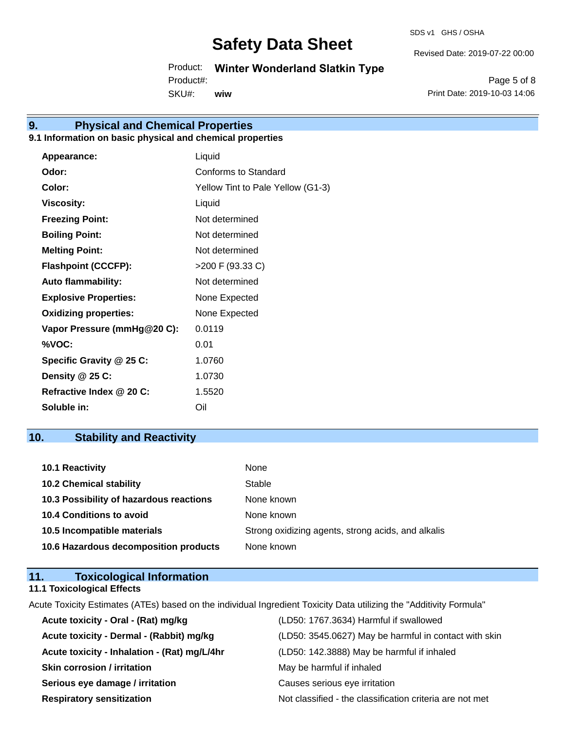SDS v1 GHS / OSHA

Revised Date: 2019-07-22 00:00

Product: **Winter Wonderland Slatkin Type**

SKU#: Product#: **wiw**

Page 5 of 8 Print Date: 2019-10-03 14:06

# **9. Physical and Chemical Properties**

### **9.1 Information on basic physical and chemical properties**

| Appearance:                  | Liquid                            |
|------------------------------|-----------------------------------|
| Odor:                        | Conforms to Standard              |
| Color:                       | Yellow Tint to Pale Yellow (G1-3) |
| <b>Viscosity:</b>            | Liquid                            |
| <b>Freezing Point:</b>       | Not determined                    |
| <b>Boiling Point:</b>        | Not determined                    |
| <b>Melting Point:</b>        | Not determined                    |
| <b>Flashpoint (CCCFP):</b>   | >200 F (93.33 C)                  |
| <b>Auto flammability:</b>    | Not determined                    |
| <b>Explosive Properties:</b> | None Expected                     |
| <b>Oxidizing properties:</b> | None Expected                     |
| Vapor Pressure (mmHg@20 C):  | 0.0119                            |
| %VOC:                        | 0.01                              |
| Specific Gravity @ 25 C:     | 1.0760                            |
| Density @ 25 C:              | 1.0730                            |
| Refractive Index @ 20 C:     | 1.5520                            |
| Soluble in:                  | Oil                               |

## **10. Stability and Reactivity**

| 10.1 Reactivity                         | None                                               |
|-----------------------------------------|----------------------------------------------------|
| <b>10.2 Chemical stability</b>          | Stable                                             |
| 10.3 Possibility of hazardous reactions | None known                                         |
| 10.4 Conditions to avoid                | None known                                         |
| 10.5 Incompatible materials             | Strong oxidizing agents, strong acids, and alkalis |
| 10.6 Hazardous decomposition products   | None known                                         |

| 11. | <b>Toxicological Information</b>  |  |
|-----|-----------------------------------|--|
|     | <b>11.1 Toxicological Effects</b> |  |

Acute Toxicity Estimates (ATEs) based on the individual Ingredient Toxicity Data utilizing the "Additivity Formula"

| Acute toxicity - Oral - (Rat) mg/kg          | (LD50: 1767.3634) Harmful if swallowed                   |
|----------------------------------------------|----------------------------------------------------------|
| Acute toxicity - Dermal - (Rabbit) mg/kg     | (LD50: 3545.0627) May be harmful in contact with skin    |
| Acute toxicity - Inhalation - (Rat) mg/L/4hr | (LD50: 142.3888) May be harmful if inhaled               |
| <b>Skin corrosion / irritation</b>           | May be harmful if inhaled                                |
| Serious eye damage / irritation              | Causes serious eye irritation                            |
| <b>Respiratory sensitization</b>             | Not classified - the classification criteria are not met |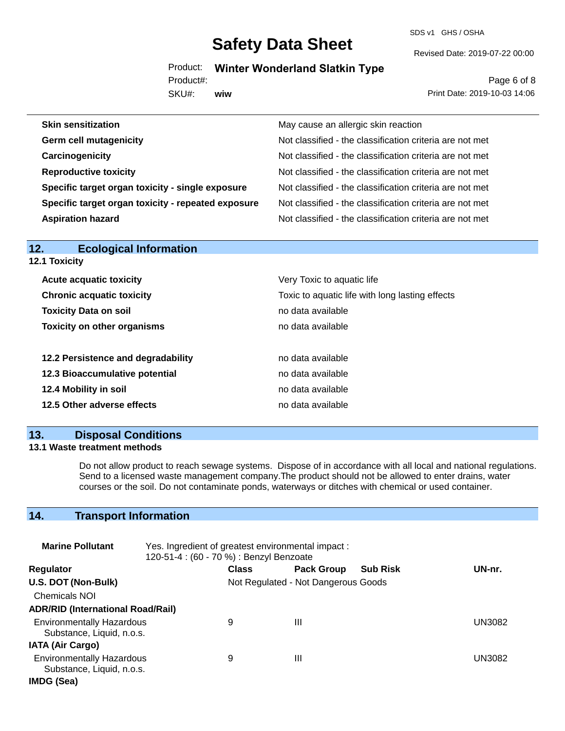SDS v1 GHS / OSHA

Revised Date: 2019-07-22 00:00

Product: **Winter Wonderland Slatkin Type**

SKU#: Product#: **wiw**

Page 6 of 8 Print Date: 2019-10-03 14:06

| <b>Skin sensitization</b>                          | May cause an allergic skin reaction                      |
|----------------------------------------------------|----------------------------------------------------------|
| <b>Germ cell mutagenicity</b>                      | Not classified - the classification criteria are not met |
| Carcinogenicity                                    | Not classified - the classification criteria are not met |
| <b>Reproductive toxicity</b>                       | Not classified - the classification criteria are not met |
| Specific target organ toxicity - single exposure   | Not classified - the classification criteria are not met |
| Specific target organ toxicity - repeated exposure | Not classified - the classification criteria are not met |
| <b>Aspiration hazard</b>                           | Not classified - the classification criteria are not met |
|                                                    |                                                          |

| <b>Ecological Information</b><br>12. |                                                 |  |  |  |
|--------------------------------------|-------------------------------------------------|--|--|--|
| 12.1 Toxicity                        |                                                 |  |  |  |
| <b>Acute acquatic toxicity</b>       | Very Toxic to aquatic life                      |  |  |  |
| <b>Chronic acquatic toxicity</b>     | Toxic to aquatic life with long lasting effects |  |  |  |
| <b>Toxicity Data on soil</b>         | no data available                               |  |  |  |
| <b>Toxicity on other organisms</b>   | no data available                               |  |  |  |
|                                      |                                                 |  |  |  |
| 12.2 Persistence and degradability   | no data available                               |  |  |  |
| 12.3 Bioaccumulative potential       | no data available                               |  |  |  |
| 12.4 Mobility in soil                | no data available                               |  |  |  |
| 12.5 Other adverse effects           | no data available                               |  |  |  |
|                                      |                                                 |  |  |  |

### **13. Disposal Conditions**

#### **13.1 Waste treatment methods**

Do not allow product to reach sewage systems. Dispose of in accordance with all local and national regulations. Send to a licensed waste management company.The product should not be allowed to enter drains, water courses or the soil. Do not contaminate ponds, waterways or ditches with chemical or used container.

## **14. Transport Information**

| <b>Marine Pollutant</b><br>Yes. Ingredient of greatest environmental impact:<br>120-51-4 : (60 - 70 %) : Benzyl Benzoate |  |              |                                     |                 |               |
|--------------------------------------------------------------------------------------------------------------------------|--|--------------|-------------------------------------|-----------------|---------------|
| <b>Regulator</b>                                                                                                         |  | <b>Class</b> | <b>Pack Group</b>                   | <b>Sub Risk</b> | UN-nr.        |
| U.S. DOT (Non-Bulk)                                                                                                      |  |              | Not Regulated - Not Dangerous Goods |                 |               |
| <b>Chemicals NOI</b>                                                                                                     |  |              |                                     |                 |               |
| <b>ADR/RID (International Road/Rail)</b>                                                                                 |  |              |                                     |                 |               |
| <b>Environmentally Hazardous</b><br>Substance, Liquid, n.o.s.                                                            |  | 9            | Ш                                   |                 | UN3082        |
| <b>IATA (Air Cargo)</b>                                                                                                  |  |              |                                     |                 |               |
| <b>Environmentally Hazardous</b><br>Substance, Liquid, n.o.s.                                                            |  | 9            | Ш                                   |                 | <b>UN3082</b> |
| IMDG (Sea)                                                                                                               |  |              |                                     |                 |               |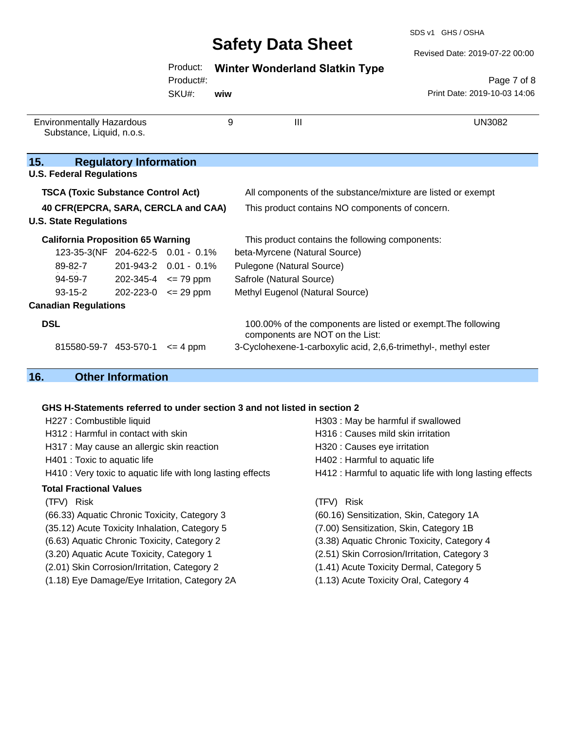SDS v1 GHS / OSHA

Revised Date: 2019-07-22 00:00

| Product: |  | <b>Winter Wonderland Slatkin Type</b> |  |  |
|----------|--|---------------------------------------|--|--|
|----------|--|---------------------------------------|--|--|

Product#:

SKU#: **wiw**

Page 7 of 8 Print Date: 2019-10-03 14:06

| 9<br><b>Environmentally Hazardous</b><br>Substance, Liquid, n.o.s.   |                               | $\mathbf{III}$                                  | UN3082                                                                                           |  |
|----------------------------------------------------------------------|-------------------------------|-------------------------------------------------|--------------------------------------------------------------------------------------------------|--|
| 15.                                                                  | <b>Regulatory Information</b> |                                                 |                                                                                                  |  |
| <b>U.S. Federal Regulations</b>                                      |                               |                                                 |                                                                                                  |  |
| <b>TSCA (Toxic Substance Control Act)</b>                            |                               |                                                 | All components of the substance/mixture are listed or exempt                                     |  |
| 40 CFR(EPCRA, SARA, CERCLA and CAA)<br><b>U.S. State Regulations</b> |                               |                                                 | This product contains NO components of concern.                                                  |  |
| <b>California Proposition 65 Warning</b>                             |                               | This product contains the following components: |                                                                                                  |  |
| 123-35-3(NF 204-622-5 0.01 - 0.1%                                    |                               |                                                 | beta-Myrcene (Natural Source)                                                                    |  |
| 89-82-7                                                              |                               | 201-943-2  0.01 - 0.1%                          | Pulegone (Natural Source)                                                                        |  |
| 94-59-7                                                              | $202 - 345 - 4 \le 79$ ppm    |                                                 | Safrole (Natural Source)                                                                         |  |
| $93 - 15 - 2$                                                        | $202 - 223 - 0 \le 29$ ppm    |                                                 | Methyl Eugenol (Natural Source)                                                                  |  |
| <b>Canadian Regulations</b>                                          |                               |                                                 |                                                                                                  |  |
| <b>DSL</b>                                                           |                               |                                                 | 100.00% of the components are listed or exempt. The following<br>components are NOT on the List: |  |
| 815580-59-7 453-570-1                                                |                               | $\leq$ 4 ppm                                    | 3-Cyclohexene-1-carboxylic acid, 2,6,6-trimethyl-, methyl ester                                  |  |

### **16. Other Information**

#### **GHS H-Statements referred to under section 3 and not listed in section 2**

- H227 : Combustible liquid H303 : May be harmful if swallowed H312 : Harmful in contact with skin Hangel H316 : Causes mild skin irritation H317 : May cause an allergic skin reaction **H320** : Causes eye irritation H401 : Toxic to aquatic life **H402** : Harmful to aquatic life H410 : Very toxic to aquatic life with long lasting effects H412 : Harmful to aquatic life with long lasting effects **Total Fractional Values** (TFV) Risk (TFV) Risk (66.33) Aquatic Chronic Toxicity, Category 3 (60.16) Sensitization, Skin, Category 1A (35.12) Acute Toxicity Inhalation, Category 5 (7.00) Sensitization, Skin, Category 1B (6.63) Aquatic Chronic Toxicity, Category 2 (3.38) Aquatic Chronic Toxicity, Category 4 (3.20) Aquatic Acute Toxicity, Category 1 (2.51) Skin Corrosion/Irritation, Category 3
- (2.01) Skin Corrosion/Irritation, Category 2 (1.41) Acute Toxicity Dermal, Category 5
- (1.18) Eye Damage/Eye Irritation, Category 2A (1.13) Acute Toxicity Oral, Category 4
- -